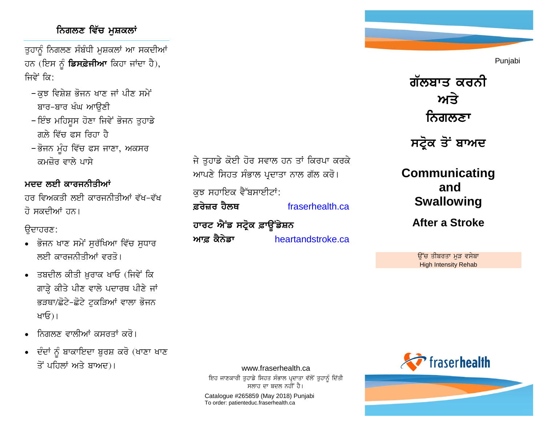## **ਨਿਗਲਣ ਵਿੱਚ ਮੁਸ਼ਕਲਾਂ**

ਤੁਹਾਨੂੰ ਨਿਗਲਣ ਸੰਬੰਧੀ ਮੁਸ਼ਕਲਾਂ ਆ ਸਕਦੀਆਂ ਹਨ (ਇਸ ਨੰ **ਡਿਸਫ਼ੇਜੀਆ** ਕਿਹਾ ਜਾਂਦਾ ਹੈ), ਜਿਵੇਂ ਕਿ:

- −ਕਝ ਵਿਸ਼ੇਸ਼ ਭੋਜਨ ਖਾਣ ਜਾਂ ਪੀਣ ਸਮੇਂ ਬਾਰ-ਬਾਰ ਖੰਘ ਆੳਣੀ
- − ਇੰਝ ਮਹਿਸੁਸ ਹੋਣਾ ਜਿਵੇਂ ਭੋਜਨ ਤੁਹਾਡੇ ਗਲੇ ਵਿੱਚ ਫ਼ਸ ਰਿਹਾ ਹੈ
- − ਭੋਜਨ ਮੁੰਹ ਵਿੱਚ ਫਸ ਜਾਣਾ, ਅਕਸਰ ਕਮਜ਼ੋਰ ਵਾਲੇ ਪਾਸੇ

ਮਦਦ ਲਈ ਕਾਰਜਨੀਤੀਆਂ

ਜਰ ਵਿਅਕਤੀ ਲਈ ਕਾਰਜਨੀਤੀਆਂ ਵੱਖ-ਵੱਖ ਰੋ ਸਕਦੀਆਂ ਹਨ।

ਉਦਾਹਰਣ:

- ਭੋਜਨ ਖਾਣ ਸਮੇਂ ਸਰੱਖਿਆ ਵਿੱਚ ਸਧਾਰ ਲਈ ਕਾਰਜਨੀਤੀਆਂ ਵਰਤੋ।
- $\bullet$  ਤਬਦੀਲ ਕੀਤੀ ਖ਼ਰਾਕ ਖਾਓ (ਜਿਵੇਂ ਕਿ ਗਾੜ੍ਹੇ ਕੀਤੇ ਪੀਣ ਵਾਲੇ ਪਦਾਰਥ ਪੀਣੇ ਜਾਂ ਭੜਥਾ/ਛੋਟੇ-ਛੋਟੇ ਟਕੜਿਆਂ ਵਾਲਾ ਭੋਜਨ ਖਾਓ)।
- ਨਿਗਲਣ ਵਾਲੀਆਂ ਕਸਰਤਾਂ ਕਰੋ।
- ਦੰਦਾਂ ਨੂੰ ਬਾਕਾਇਦਾ ਬੁਰਸ਼ ਕਰੋ (ਖਾਣਾ ਖਾਣ ਤੋਂ ਪਹਿਲਾਂ ਅਤੇ ਬਾਅਦ)।

ਜੇ ਤਹਾਡੇ ਕੋਈ ਹੋਰ ਸਵਾਲ ਹਨ ਤਾਂ ਕਿਰਪਾ ਕਰਕੇ ਆਪਣੇ ਸਿਹਤ ਸੰਭਾਲ ਪ੍ਰਦਾਤਾ ਨਾਲ ਗੱਲ ਕਰੋ। ਕਝ ਸਹਾਇਕ ਵੈੱਬਸਾਈਟਾਂ: **&ਰੇਜ਼ਰ ਹੈਲਥ ਕਰੀਤ ਵਿਸ਼ਰਮਾਰ ਵਿਸ਼ਰਮ ਸ਼ਹਿਰ ਵਿਸ਼ਰਮ ਨਾਲ ਕਰੀਤ ਕਰੀਤ ਕਰੀਤ ਸ਼ਹਿਰ ਵਿਸ਼ਰਮ ਨਾਲ ਕਰੀਤ ਸ਼ਹਿਰ ਵਿਸ਼ਰਮ ਨਾਲ ਕਰੀਤ ਵ** ਹਾਰਟ ਐਂਡ ਸਟ੍ਰੋਕ ਫ਼ਾ**ਉਂਡੇਸ਼**ਨ

**Aw& kYnyfw** [heartandstroke.ca](http://www.heartandstroke.ca/)



ਗੱਲਬਾਤ ਕਰਨ<u>ੀ</u> <u>ਅਤੇ</u> **ਨਿਗਲਣਾ** 

ਸਟ੍ਰੋਕ ਤੋਂ ਬਾਅਦ

**Communicating and Swallowing**

**After a Stroke**

<u>ਉੱਚ ਤੀਬਰਤਾ ਮੜ ਵਸੇਬਾ</u> High Intensity Rehab



www.fraserhealth.ca ਇਹ ਜਾਣਕਾਰੀ ਤੁਹਾਡੇ ਸਿਹਤ ਸੰਭਾਲ ਪ੍ਰਦਾਤਾ ਵੱਲੋਂ ਤੁਹਾਨੂੰ ਦਿੱਤੀ ਸਲਾਹ ਦਾ ਬਦਲ ਨਹੀਂ ਹੈ।

Catalogue #265859 (May 2018) Punjabi To order: patienteduc.fraserhealth.ca